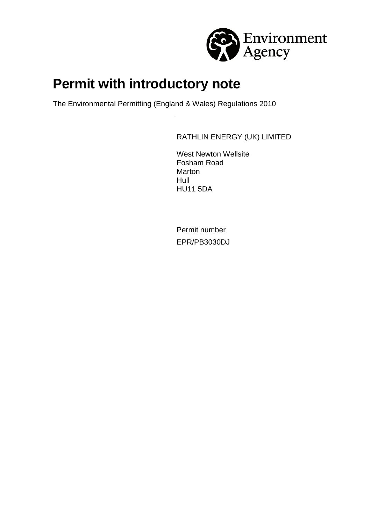

# **Permit with introductory note**

The Environmental Permitting (England & Wales) Regulations 2010

RATHLIN ENERGY (UK) LIMITED

West Newton Wellsite Fosham Road **Marton** Hull HU11 5DA

Permit number EPR/PB3030DJ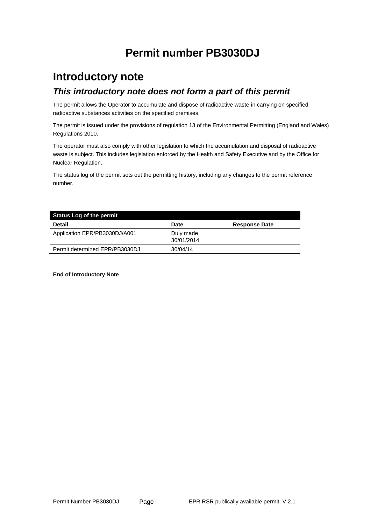# **Permit number PB3030DJ**

## **Introductory note** *This introductory note does not form a part of this permit*

The permit allows the Operator to accumulate and dispose of radioactive waste in carrying on specified radioactive substances activities on the specified premises.

The permit is issued under the provisions of regulation 13 of the Environmental Permitting (England and Wales) Regulations 2010.

The operator must also comply with other legislation to which the accumulation and disposal of radioactive waste is subject. This includes legislation enforced by the Health and Safety Executive and by the Office for Nuclear Regulation.

The status log of the permit sets out the permitting history, including any changes to the permit reference number.

| <b>Status Log of the permit</b> |                         |                      |  |  |
|---------------------------------|-------------------------|----------------------|--|--|
| <b>Detail</b>                   | <b>Date</b>             | <b>Response Date</b> |  |  |
| Application EPR/PB3030DJ/A001   | Duly made<br>30/01/2014 |                      |  |  |
| Permit determined EPR/PB3030DJ  | 30/04/14                |                      |  |  |

**End of Introductory Note**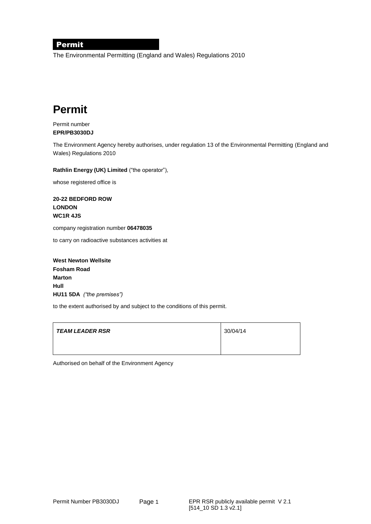#### Permit

The Environmental Permitting (England and Wales) Regulations 2010

# **Permit**

#### Permit number **EPR/PB3030DJ**

The Environment Agency hereby authorises, under regulation 13 of the Environmental Permitting (England and Wales) Regulations 2010

**Rathlin Energy (UK) Limited** ("the operator"),

whose registered office is

**20-22 BEDFORD ROW LONDON WC1R 4JS**

company registration number **06478035**

to carry on radioactive substances activities at

**West Newton Wellsite Fosham Road Marton Hull HU11 5DA** *("the premises")*

to the extent authorised by and subject to the conditions of this permit.

| TEAM LEADER RSR | 30/04/14 |
|-----------------|----------|
|                 |          |

Authorised on behalf of the Environment Agency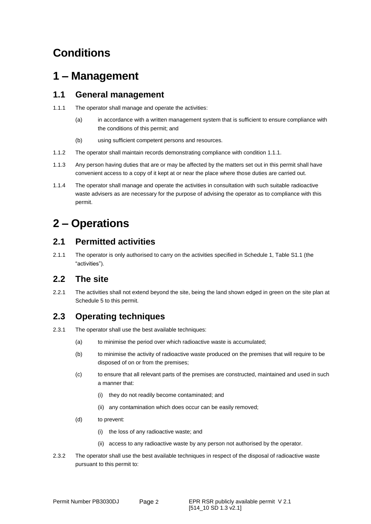# **Conditions**

# **1 – Management**

### **1.1 General management**

- 1.1.1 The operator shall manage and operate the activities:
	- (a) in accordance with a written management system that is sufficient to ensure compliance with the conditions of this permit; and
	- (b) using sufficient competent persons and resources.
- 1.1.2 The operator shall maintain records demonstrating compliance with condition 1.1.1.
- 1.1.3 Any person having duties that are or may be affected by the matters set out in this permit shall have convenient access to a copy of it kept at or near the place where those duties are carried out.
- 1.1.4 The operator shall manage and operate the activities in consultation with such suitable radioactive waste advisers as are necessary for the purpose of advising the operator as to compliance with this permit.

# **2 – Operations**

## **2.1 Permitted activities**

2.1.1 The operator is only authorised to carry on the activities specified in Schedule 1, Table S1.1 (the "activities").

## **2.2 The site**

2.2.1 The activities shall not extend beyond the site, being the land shown edged in green on the site plan at Schedule 5 to this permit.

## **2.3 Operating techniques**

- 2.3.1 The operator shall use the best available techniques:
	- (a) to minimise the period over which radioactive waste is accumulated;
	- (b) to minimise the activity of radioactive waste produced on the premises that will require to be disposed of on or from the premises;
	- (c) to ensure that all relevant parts of the premises are constructed, maintained and used in such a manner that:
		- (i) they do not readily become contaminated; and
		- (ii) any contamination which does occur can be easily removed;
	- (d) to prevent:
		- (i) the loss of any radioactive waste; and
		- (ii) access to any radioactive waste by any person not authorised by the operator.
- 2.3.2 The operator shall use the best available techniques in respect of the disposal of radioactive waste pursuant to this permit to: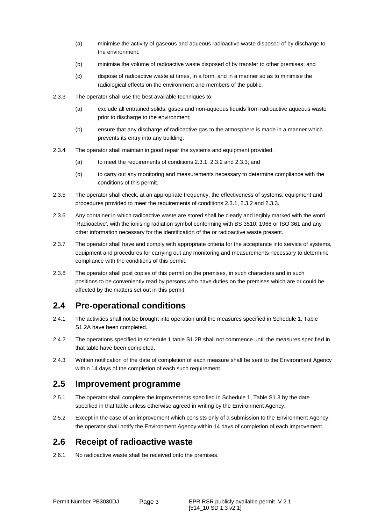- (a) minimise the activity of gaseous and aqueous radioactive waste disposed of by discharge to the environment;
- (b) minimise the volume of radioactive waste disposed of by transfer to other premises; and
- (c) dispose of radioactive waste at times, in a form, and in a manner so as to minimise the radiological effects on the environment and members of the public.
- 2.3.3 The operator shall use the best available techniques to:
	- (a) exclude all entrained solids, gases and non-aqueous liquids from radioactive aqueous waste prior to discharge to the environment;
	- (b) ensure that any discharge of radioactive gas to the atmosphere is made in a manner which prevents its entry into any building.
- 2.3.4 The operator shall maintain in good repair the systems and equipment provided:
	- (a) to meet the requirements of conditions 2.3.1, 2.3.2 and 2.3.3; and
	- (b) to carry out any monitoring and measurements necessary to determine compliance with the conditions of this permit.
- 2.3.5 The operator shall check, at an appropriate frequency, the effectiveness of systems, equipment and procedures provided to meet the requirements of conditions 2.3.1, 2.3.2 and 2.3.3.
- 2.3.6 Any container in which radioactive waste are stored shall be clearly and legibly marked with the word 'Radioactive', with the ionising radiation symbol conforming with BS 3510: 1968 or ISO 361 and any other information necessary for the identification of the or radioactive waste present.
- 2.3.7 The operator shall have and comply with appropriate criteria for the acceptance into service of systems, equipment and procedures for carrying out any monitoring and measurements necessary to determine compliance with the conditions of this permit.
- 2.3.8 The operator shall post copies of this permit on the premises, in such characters and in such positions to be conveniently read by persons who have duties on the premises which are or could be affected by the matters set out in this permit.

### **2.4 Pre-operational conditions**

- 2.4.1 The activities shall not be brought into operation until the measures specified in Schedule 1, Table S1.2A have been completed.
- 2.4.2 The operations specified in schedule 1 table S1.2B shall not commence until the measures specified in that table have been completed.
- 2.4.3 Written notification of the date of completion of each measure shall be sent to the Environment Agency within 14 days of the completion of each such requirement.

### **2.5 Improvement programme**

- 2.5.1 The operator shall complete the improvements specified in Schedule 1, Table S1.3 by the date specified in that table unless otherwise agreed in writing by the Environment Agency.
- 2.5.2 Except in the case of an improvement which consists only of a submission to the Environment Agency, the operator shall notify the Environment Agency within 14 days of completion of each improvement.

### **2.6 Receipt of radioactive waste**

2.6.1 No radioactive waste shall be received onto the premises.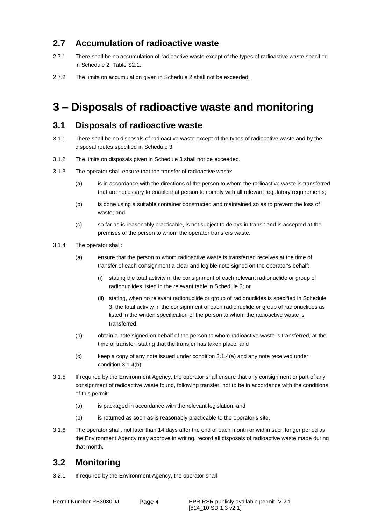## **2.7 Accumulation of radioactive waste**

- 2.7.1 There shall be no accumulation of radioactive waste except of the types of radioactive waste specified in Schedule 2, Table S2.1.
- 2.7.2 The limits on accumulation given in Schedule 2 shall not be exceeded.

# **3 – Disposals of radioactive waste and monitoring**

### **3.1 Disposals of radioactive waste**

- 3.1.1 There shall be no disposals of radioactive waste except of the types of radioactive waste and by the disposal routes specified in Schedule 3.
- 3.1.2 The limits on disposals given in Schedule 3 shall not be exceeded.
- 3.1.3 The operator shall ensure that the transfer of radioactive waste:
	- (a) is in accordance with the directions of the person to whom the radioactive waste is transferred that are necessary to enable that person to comply with all relevant regulatory requirements;
	- (b) is done using a suitable container constructed and maintained so as to prevent the loss of waste; and
	- (c) so far as is reasonably practicable, is not subject to delays in transit and is accepted at the premises of the person to whom the operator transfers waste.
- 3.1.4 The operator shall:
	- (a) ensure that the person to whom radioactive waste is transferred receives at the time of transfer of each consignment a clear and legible note signed on the operator's behalf:
		- (i) stating the total activity in the consignment of each relevant radionuclide or group of radionuclides listed in the relevant table in Schedule 3; or
		- (ii) stating, when no relevant radionuclide or group of radionuclides is specified in Schedule 3, the total activity in the consignment of each radionuclide or group of radionuclides as listed in the written specification of the person to whom the radioactive waste is transferred.
	- (b) obtain a note signed on behalf of the person to whom radioactive waste is transferred, at the time of transfer, stating that the transfer has taken place; and
	- (c) keep a copy of any note issued under condition 3.1.4(a) and any note received under condition 3.1.4(b).
- 3.1.5 If required by the Environment Agency, the operator shall ensure that any consignment or part of any consignment of radioactive waste found, following transfer, not to be in accordance with the conditions of this permit:
	- (a) is packaged in accordance with the relevant legislation; and
	- (b) is returned as soon as is reasonably practicable to the operator's site.
- 3.1.6 The operator shall, not later than 14 days after the end of each month or within such longer period as the Environment Agency may approve in writing, record all disposals of radioactive waste made during that month.

## **3.2 Monitoring**

3.2.1 If required by the Environment Agency, the operator shall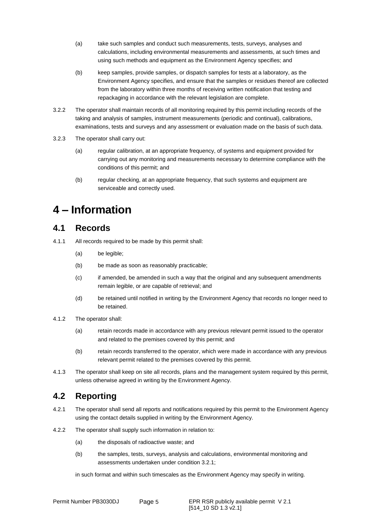- (a) take such samples and conduct such measurements, tests, surveys, analyses and calculations, including environmental measurements and assessments, at such times and using such methods and equipment as the Environment Agency specifies; and
- (b) keep samples, provide samples, or dispatch samples for tests at a laboratory, as the Environment Agency specifies, and ensure that the samples or residues thereof are collected from the laboratory within three months of receiving written notification that testing and repackaging in accordance with the relevant legislation are complete.
- 3.2.2 The operator shall maintain records of all monitoring required by this permit including records of the taking and analysis of samples, instrument measurements (periodic and continual), calibrations, examinations, tests and surveys and any assessment or evaluation made on the basis of such data.
- 3.2.3 The operator shall carry out:
	- (a) regular calibration, at an appropriate frequency, of systems and equipment provided for carrying out any monitoring and measurements necessary to determine compliance with the conditions of this permit; and
	- (b) regular checking, at an appropriate frequency, that such systems and equipment are serviceable and correctly used.

# **4 – Information**

### **4.1 Records**

4.1.1 All records required to be made by this permit shall:

- (a) be legible;
- (b) be made as soon as reasonably practicable;
- (c) if amended, be amended in such a way that the original and any subsequent amendments remain legible, or are capable of retrieval; and
- (d) be retained until notified in writing by the Environment Agency that records no longer need to be retained.
- 4.1.2 The operator shall:
	- (a) retain records made in accordance with any previous relevant permit issued to the operator and related to the premises covered by this permit; and
	- (b) retain records transferred to the operator, which were made in accordance with any previous relevant permit related to the premises covered by this permit.
- 4.1.3 The operator shall keep on site all records, plans and the management system required by this permit, unless otherwise agreed in writing by the Environment Agency.

## **4.2 Reporting**

- 4.2.1 The operator shall send all reports and notifications required by this permit to the Environment Agency using the contact details supplied in writing by the Environment Agency.
- 4.2.2 The operator shall supply such information in relation to:
	- (a) the disposals of radioactive waste; and
	- (b) the samples, tests, surveys, analysis and calculations, environmental monitoring and assessments undertaken under condition 3.2.1;

in such format and within such timescales as the Environment Agency may specify in writing.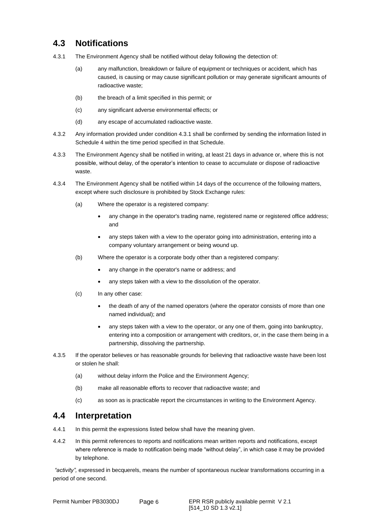## **4.3 Notifications**

- 4.3.1 The Environment Agency shall be notified without delay following the detection of:
	- (a) any malfunction, breakdown or failure of equipment or techniques or accident, which has caused, is causing or may cause significant pollution or may generate significant amounts of radioactive waste;
	- (b) the breach of a limit specified in this permit; or
	- (c) any significant adverse environmental effects; or
	- (d) any escape of accumulated radioactive waste.
- 4.3.2 Any information provided under condition 4.3.1 shall be confirmed by sending the information listed in Schedule 4 within the time period specified in that Schedule.
- 4.3.3 The Environment Agency shall be notified in writing, at least 21 days in advance or, where this is not possible, without delay, of the operator's intention to cease to accumulate or dispose of radioactive waste.
- 4.3.4 The Environment Agency shall be notified within 14 days of the occurrence of the following matters, except where such disclosure is prohibited by Stock Exchange rules:
	- (a) Where the operator is a registered company:
		- any change in the operator's trading name, registered name or registered office address; and
		- any steps taken with a view to the operator going into administration, entering into a company voluntary arrangement or being wound up.
	- (b) Where the operator is a corporate body other than a registered company:
		- any change in the operator's name or address; and
		- any steps taken with a view to the dissolution of the operator.
	- (c) In any other case:
		- the death of any of the named operators (where the operator consists of more than one named individual); and
		- any steps taken with a view to the operator, or any one of them, going into bankruptcy, entering into a composition or arrangement with creditors, or, in the case them being in a partnership, dissolving the partnership.
- 4.3.5 If the operator believes or has reasonable grounds for believing that radioactive waste have been lost or stolen he shall:
	- (a) without delay inform the Police and the Environment Agency;
	- (b) make all reasonable efforts to recover that radioactive waste; and
	- (c) as soon as is practicable report the circumstances in writing to the Environment Agency.

### **4.4 Interpretation**

- 4.4.1 In this permit the expressions listed below shall have the meaning given.
- 4.4.2 In this permit references to reports and notifications mean written reports and notifications, except where reference is made to notification being made "without delay", in which case it may be provided by telephone.

*"activity",* expressed in becquerels, means the number of spontaneous nuclear transformations occurring in a period of one second.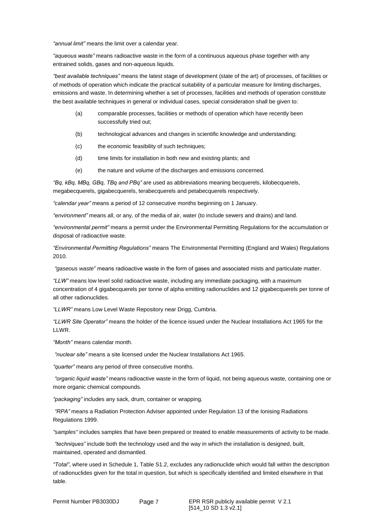*"annual limit"* means the limit over a calendar year.

*"aqueous waste"* means radioactive waste in the form of a continuous aqueous phase together with any entrained solids, gases and non-aqueous liquids.

*"best available techniques"* means the latest stage of development (state of the art) of processes, of facilities or of methods of operation which indicate the practical suitability of a particular measure for limiting discharges, emissions and waste. In determining whether a set of processes, facilities and methods of operation constitute the best available techniques in general or individual cases, special consideration shall be given to:

- (a) comparable processes, facilities or methods of operation which have recently been successfully tried out;
- (b) technological advances and changes in scientific knowledge and understanding;
- (c) the economic feasibility of such techniques;
- (d) time limits for installation in both new and existing plants; and
- (e) the nature and volume of the discharges and emissions concerned.

*"Bq, kBq, MBq, GBq, TBq and PBq"* are used as abbreviations meaning becquerels, kilobecquerels, megabecquerels, gigabecquerels, terabecquerels and petabecquerels respectively.

*"calendar year"* means a period of 12 consecutive months beginning on 1 January.

*"environment"* means all, or any, of the media of air, water (to include sewers and drains) and land.

*"environmental permit"* means a permit under the Environmental Permitting Regulations for the accumulation or disposal of radioactive waste.

*"Environmental Permitting Regulations"* means The Environmental Permitting (England and Wales) Regulations 2010.

*"gaseous waste*" means radioactive waste in the form of gases and associated mists and particulate matter.

*"LLW"* means low level solid radioactive waste, including any immediate packaging, with a maximum concentration of 4 gigabecquerels per tonne of alpha emitting radionuclides and 12 gigabecquerels per tonne of all other radionuclides.

*"LLWR"* means Low Level Waste Repository near Drigg, Cumbria.

*"LLWR Site Operator"* means the holder of the licence issued under the Nuclear Installations Act 1965 for the LLWR.

*"Month"* means calendar month.

*"nuclear site"* means a site licensed under the Nuclear Installations Act 1965.

*"quarter"* means any period of three consecutive months.

*"organic liquid waste"* means radioactive waste in the form of liquid, not being aqueous waste, containing one or more organic chemical compounds.

*"packaging"* includes any sack, drum, container or wrapping.

*"RPA"* means a Radiation Protection Adviser appointed under Regulation 13 of the Ionising Radiations Regulations 1999.

*"samples"* includes samples that have been prepared or treated to enable measurements of activity to be made.

*"techniques"* include both the technology used and the way in which the installation is designed, built, maintained, operated and dismantled.

*"Total"*, where used in Schedule 1, Table S1.2, excludes any radionuclide which would fall within the description of radionuclides given for the total in question, but which is specifically identified and limited elsewhere in that table.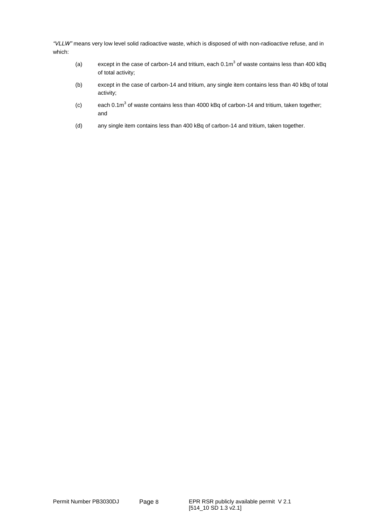*"VLLW"* means very low level solid radioactive waste, which is disposed of with non-radioactive refuse, and in which:

- (a) except in the case of carbon-14 and tritium, each  $0.1\text{m}^3$  of waste contains less than 400 kBq of total activity;
- (b) except in the case of carbon-14 and tritium, any single item contains less than 40 kBq of total activity;
- (c) each 0.1m<sup>3</sup> of waste contains less than 4000 kBq of carbon-14 and tritium, taken together; and
- (d) any single item contains less than 400 kBq of carbon-14 and tritium, taken together.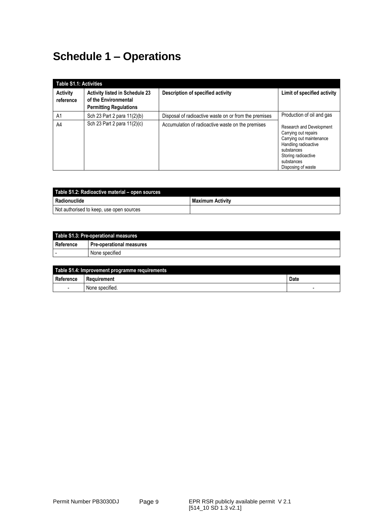# **Schedule 1 – Operations**

|                       | <b>Table S1.1: Activities</b>                                                                  |                                                       |                                                                                                                                                                               |  |  |
|-----------------------|------------------------------------------------------------------------------------------------|-------------------------------------------------------|-------------------------------------------------------------------------------------------------------------------------------------------------------------------------------|--|--|
| Activity<br>reference | <b>Activity listed in Schedule 23</b><br>of the Environmental<br><b>Permitting Regulations</b> | Description of specified activity                     | Limit of specified activity                                                                                                                                                   |  |  |
| A <sub>1</sub>        | Sch 23 Part 2 para 11(2)(b)                                                                    | Disposal of radioactive waste on or from the premises | Production of oil and gas                                                                                                                                                     |  |  |
| A4                    | Sch 23 Part 2 para 11(2)(c)                                                                    | Accumulation of radioactive waste on the premises     | Research and Development<br>Carrying out repairs<br>Carrying out maintenance<br>Handling radioactive<br>substances<br>Storing radioactive<br>substances<br>Disposing of waste |  |  |

| Table S1.2: Radioactive material – open sources |  |  |
|-------------------------------------------------|--|--|
| <b>Radionuclide</b><br><b>Maximum Activity</b>  |  |  |
| Not authorised to keep, use open sources        |  |  |

| Table S1.3: Pre-operational measures |                                 |  |
|--------------------------------------|---------------------------------|--|
| Reference                            | <b>Pre-operational measures</b> |  |
|                                      | None specified                  |  |

| Table S1.4: Improvement programme requirements |                 |                          |  |
|------------------------------------------------|-----------------|--------------------------|--|
| Reference                                      | Requirement     | Date                     |  |
| $\overline{\phantom{0}}$                       | None specified. | $\overline{\phantom{0}}$ |  |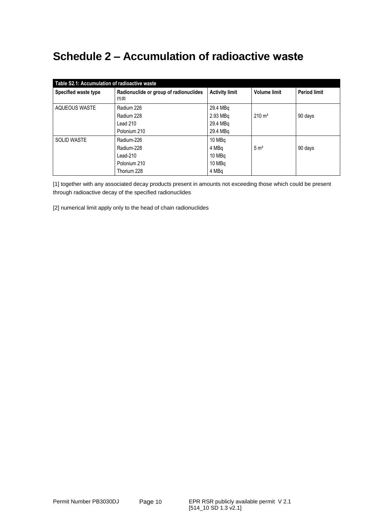# **Schedule 2 – Accumulation of radioactive waste**

| Table S2.1: Accumulation of radioactive waste |                                                   |                       |                     |                     |  |  |
|-----------------------------------------------|---------------------------------------------------|-----------------------|---------------------|---------------------|--|--|
| Specified waste type                          | Radionuclide or group of radionuclides<br>[1] [2] | <b>Activity limit</b> | <b>Volume limit</b> | <b>Period limit</b> |  |  |
| AQUEOUS WASTE                                 | Radium 226                                        | 29.4 MBq              |                     |                     |  |  |
|                                               | Radium 228                                        | 2.93 MBa              | $210 \text{ m}^3$   | 90 days             |  |  |
|                                               | Lead 210                                          | 29.4 MBa              |                     |                     |  |  |
|                                               | Polonium 210                                      | 29.4 MBa              |                     |                     |  |  |
| <b>SOLID WASTE</b>                            | Radium-226                                        | 10 MBq                |                     |                     |  |  |
|                                               | Radium-228                                        | 4 MBq                 | 5 m <sup>3</sup>    | 90 days             |  |  |
|                                               | Lead-210                                          | 10 MBq                |                     |                     |  |  |
|                                               | Polonium 210                                      | 10 MBq                |                     |                     |  |  |
|                                               | Thorium 228                                       | 4 MBa                 |                     |                     |  |  |

[1] together with any associated decay products present in amounts not exceeding those which could be present through radioactive decay of the specified radionuclides

[2] numerical limit apply only to the head of chain radionuclides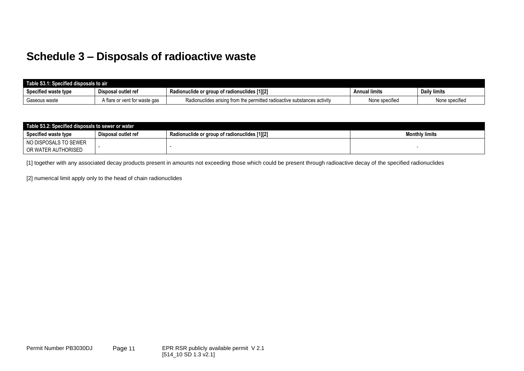## **Schedule 3 – Disposals of radioactive waste**

| Table S3.1: Specified disposals to air |                               |                                                                          |                |                     |
|----------------------------------------|-------------------------------|--------------------------------------------------------------------------|----------------|---------------------|
| Specified waste type                   | Disposal outlet ref           | Radionuclide or group of radionuclides [1][2]                            | Annual limits  | <b>Daily limits</b> |
| Gaseous waste                          | A flare or vent for waste gas | Radionuclides arising from the permitted radioactive substances activity | None specified | None specified      |

| Table S3.2: Specified disposals to sewer or water |                     |                                               |                       |  |
|---------------------------------------------------|---------------------|-----------------------------------------------|-----------------------|--|
| <b>Specified waste type</b>                       | Disposal outlet ref | Radionuclide or group of radionuclides [1][2] | <b>Monthly limits</b> |  |
| NO DISPOSALS TO SEWER                             |                     |                                               |                       |  |
| OR WATER AUTHORISED                               |                     |                                               |                       |  |

[1] together with any associated decay products present in amounts not exceeding those which could be present through radioactive decay of the specified radionuclides

[2] numerical limit apply only to the head of chain radionuclides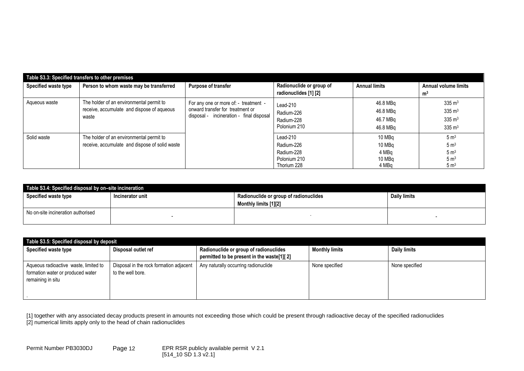| Table S3.3: Specified transfers to other premises |                                                                                                 |                                                                                                                       |                                                                     |                                              |                                                                                               |
|---------------------------------------------------|-------------------------------------------------------------------------------------------------|-----------------------------------------------------------------------------------------------------------------------|---------------------------------------------------------------------|----------------------------------------------|-----------------------------------------------------------------------------------------------|
| Specified waste type                              | Person to whom waste may be transferred                                                         | Purpose of transfer                                                                                                   | Radionuclide or group of<br>radionuclides [1] [2]                   | <b>Annual limits</b>                         | <b>Annual volume limits</b><br>m <sup>3</sup>                                                 |
| Aqueous waste                                     | The holder of an environmental permit to<br>receive, accumulate and dispose of aqueous<br>waste | For any one or more of: - treatment -<br>onward transfer for treatment or<br>disposal - incineration - final disposal | $Lead-210$<br>Radium-226<br>Radium-228<br>Polonium 210              | 46.8 MBq<br>46.8 MBq<br>46.7 MBa<br>46.8 MBa | $335 \text{ m}^3$<br>$335 \text{ m}^3$<br>$335 \text{ m}^3$<br>$335 \text{ m}^3$              |
| Solid waste                                       | The holder of an environmental permit to<br>receive, accumulate and dispose of solid waste      |                                                                                                                       | Lead-210<br>Radium-226<br>Radium-228<br>Polonium 210<br>Thorium 228 | 10 MBq<br>10 MBa<br>4 MBa<br>10 MBq<br>4 MBa | 5 m <sup>3</sup><br>$5 \text{ m}^3$<br>5 m <sup>3</sup><br>$5 \text{ m}^3$<br>$5 \text{ m}^3$ |

| Table S3.4: Specified disposal by on-site incineration |                  |                                                                 |              |  |  |
|--------------------------------------------------------|------------------|-----------------------------------------------------------------|--------------|--|--|
| Specified waste type                                   | Incinerator unit | Radionuclide or group of radionuclides<br>Monthly limits [1][2] | Daily limits |  |  |
| No on-site incineration authorised                     |                  |                                                                 |              |  |  |

| Table S3.5: Specified disposal by deposit                                                       |                                                              |                                                                                      |                       |                     |  |
|-------------------------------------------------------------------------------------------------|--------------------------------------------------------------|--------------------------------------------------------------------------------------|-----------------------|---------------------|--|
| Specified waste type                                                                            | Disposal outlet ref                                          | Radionuclide or group of radionuclides<br>permitted to be present in the waste[1][2] | <b>Monthly limits</b> | <b>Daily limits</b> |  |
| Aqueous radioactive waste, limited to<br>formation water or produced water<br>remaining in situ | Disposal in the rock formation adjacent<br>to the well bore. | Any naturally occurring radionuclide                                                 | None specified        | None specified      |  |

[1] together with any associated decay products present in amounts not exceeding those which could be present through radioactive decay of the specified radionuclides [2] numerical limits apply only to the head of chain radionuclides

Permit Number PB3030DJ Page 12 EPR RSR publicly available permit - - V 2.1 - 12 - - 12 -12 [514\_10 SD 1.3 v2.1]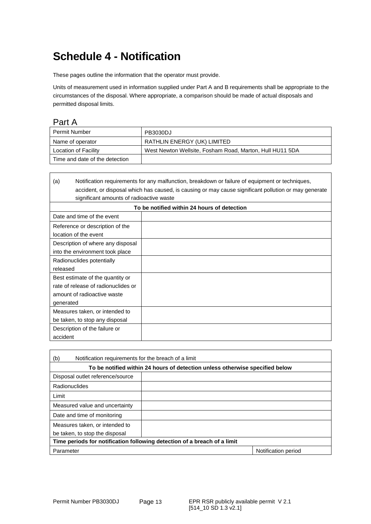# **Schedule 4 - Notification**

These pages outline the information that the operator must provide.

Units of measurement used in information supplied under Part A and B requirements shall be appropriate to the circumstances of the disposal. Where appropriate, a comparison should be made of actual disposals and permitted disposal limits.

### Part A

 $\mathbf{I}$ 

| Permit Number                  | <b>PB3030DJ</b>                                          |
|--------------------------------|----------------------------------------------------------|
| Name of operator               | RATHLIN ENERGY (UK) LIMITED                              |
| Location of Facility           | West Newton Wellsite, Fosham Road, Marton, Hull HU11 5DA |
| Time and date of the detection |                                                          |

| Notification requirements for any malfunction, breakdown or failure of equipment or techniques,<br>(a) |  |  |
|--------------------------------------------------------------------------------------------------------|--|--|
| accident, or disposal which has caused, is causing or may cause significant pollution or may generate  |  |  |
| significant amounts of radioactive waste                                                               |  |  |
| To be notified within 24 hours of detection                                                            |  |  |
| Date and time of the event                                                                             |  |  |
| Reference or description of the                                                                        |  |  |
| location of the event                                                                                  |  |  |
| Description of where any disposal                                                                      |  |  |
| into the environment took place                                                                        |  |  |
| Radionuclides potentially                                                                              |  |  |
| released                                                                                               |  |  |
| Best estimate of the quantity or                                                                       |  |  |
| rate of release of radionuclides or                                                                    |  |  |
| amount of radioactive waste                                                                            |  |  |
| generated                                                                                              |  |  |
| Measures taken, or intended to                                                                         |  |  |
| be taken, to stop any disposal                                                                         |  |  |
| Description of the failure or                                                                          |  |  |
| accident                                                                                               |  |  |

| (b)<br>Notification requirements for the breach of a limit                   |  |                     |
|------------------------------------------------------------------------------|--|---------------------|
| To be notified within 24 hours of detection unless otherwise specified below |  |                     |
| Disposal outlet reference/source                                             |  |                     |
| Radionuclides                                                                |  |                     |
| Limit                                                                        |  |                     |
| Measured value and uncertainty                                               |  |                     |
| Date and time of monitoring                                                  |  |                     |
| Measures taken, or intended to                                               |  |                     |
| be taken, to stop the disposal                                               |  |                     |
| Time periods for notification following detection of a breach of a limit     |  |                     |
| Parameter                                                                    |  | Notification period |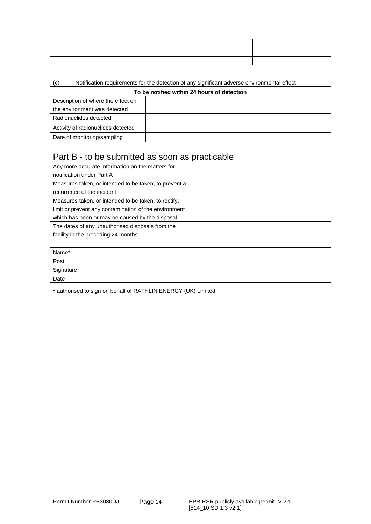| ,我们就会在这里,我们的人们就会在这里,我们的人们就会在这里,我们的人们就会在这里,我们的人们就会在这里,我们的人们就会在这里,我们的人们就会在这里,我们的人们<br><u> La construcción de la construcción de la construcción de la construcción de la construcción de la construcción d</u> |                                                                                                                       |
|--------------------------------------------------------------------------------------------------------------------------------------------------------------------------------------------------------------|-----------------------------------------------------------------------------------------------------------------------|
| <u> La componenta de la contrada de la contrada de la contrada de la contrada de la contrada de la contrada de la</u>                                                                                        | <u> La Carlo de la Carlo de la Carlo de la Carlo de la Carlo de la Carlo de la Carlo de la Carlo de la Carlo de l</u> |
|                                                                                                                                                                                                              |                                                                                                                       |

| Notification requirements for the detection of any significant adverse environmental effect<br>(c) |  |  |
|----------------------------------------------------------------------------------------------------|--|--|
| To be notified within 24 hours of detection                                                        |  |  |
| Description of where the effect on                                                                 |  |  |
| the environment was detected                                                                       |  |  |
| Radionuclides detected                                                                             |  |  |
| Activity of radionuclides detected                                                                 |  |  |
| Date of monitoring/sampling                                                                        |  |  |

## Part B - to be submitted as soon as practicable

| Any more accurate information on the matters for      |  |
|-------------------------------------------------------|--|
| notification under Part A                             |  |
| Measures taken, or intended to be taken, to prevent a |  |
| recurrence of the incident                            |  |
| Measures taken, or intended to be taken, to rectify,  |  |
| limit or prevent any contamination of the environment |  |
| which has been or may be caused by the disposal       |  |
| The dates of any unauthorised disposals from the      |  |
| facility in the preceding 24 months                   |  |

| Name*     |  |
|-----------|--|
| Post      |  |
| Signature |  |
| Date      |  |

\* authorised to sign on behalf of RATHLIN ENERGY (UK) Limited